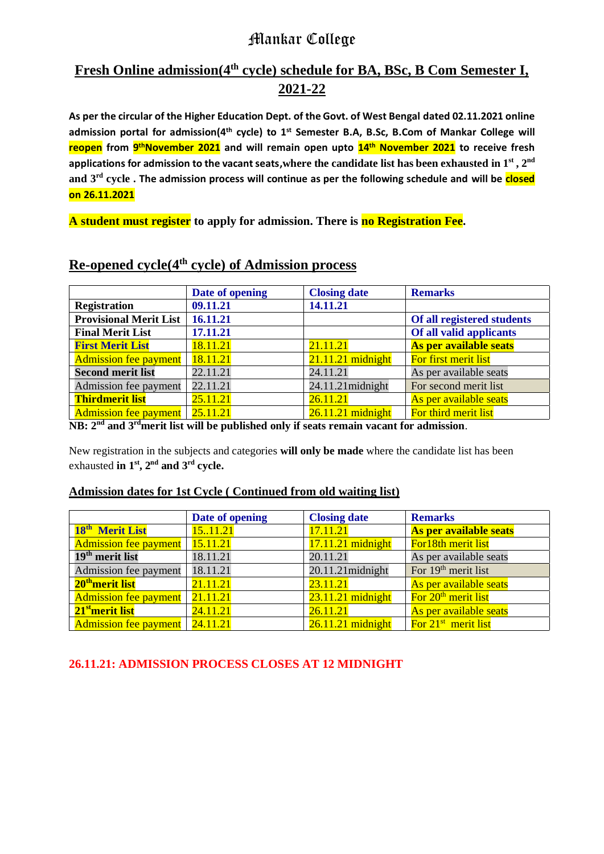# Mankar College

## **Fresh Online admission(4th cycle) schedule for BA, BSc, B Com Semester I, 2021-22**

**As per the circular of the Higher Education Dept. of the Govt. of West Bengal dated 02.11.2021 online admission portal for admission(4th cycle) to 1st Semester B.A, B.Sc, B.Com of Mankar College will reopen from 9 thNovember 2021 and will remain open upto 14 th November 2021 to receive fresh applications for admission to the vacant seats,where the candidate list has been exhausted in 1st , 2nd and 3rd cycle . The admission process will continue as per the following schedule and will be closed on 26.11.2021**

**A student must register to apply for admission. There is no Registration Fee.**

|                               | Date of opening      | <b>Closing date</b> | <b>Remarks</b>             |  |  |
|-------------------------------|----------------------|---------------------|----------------------------|--|--|
| <b>Registration</b>           | 09.11.21<br>14.11.21 |                     |                            |  |  |
| <b>Provisional Merit List</b> | 16.11.21             |                     | Of all registered students |  |  |
| <b>Final Merit List</b>       | 17.11.21             |                     | Of all valid applicants    |  |  |
| <b>First Merit List</b>       | 18.11.21             | 21.11.21            | As per available seats     |  |  |
| <b>Admission fee payment</b>  | 18.11.21             | $21.11.21$ midnight | For first merit list       |  |  |
| <b>Second merit list</b>      | 22.11.21             | 24.11.21            | As per available seats     |  |  |
| Admission fee payment         | 22.11.21             | 24.11.21 midnight   | For second merit list      |  |  |
| <b>Thirdmerit list</b>        | 25.11.21             | 26.11.21            | As per available seats     |  |  |
| <b>Admission fee payment</b>  | 25.11.21             | $26.11.21$ midnight | For third merit list       |  |  |

## **Re-opened cycle(4th cycle) of Admission process**

**NB: 2nd and 3rdmerit list will be published only if seats remain vacant for admission**.

New registration in the subjects and categories **will only be made** where the candidate list has been exhausted **in 1st, 2nd and 3rd cycle.**

#### **Admission dates for 1st Cycle ( Continued from old waiting list)**

|                                  | Date of opening | <b>Closing date</b> | <b>Remarks</b>                  |  |
|----------------------------------|-----------------|---------------------|---------------------------------|--|
| 18 <sup>th</sup> Merit List      | 15.11.21        | 17.11.21            | As per available seats          |  |
| <b>Admission fee payment</b>     | 15.11.21        | $17.11.21$ midnight | For18th merit list              |  |
| 19 <sup>th</sup> merit list      | 18.11.21        | 20.11.21            | As per available seats          |  |
| Admission fee payment            | 18.11.21        | 20.11.21 midnight   | For 19 <sup>th</sup> merit list |  |
| 20 <sup>th</sup> merit list      | 21.11.21        | 23.11.21            | As per available seats          |  |
| <b>Admission fee payment</b>     | 21.11.21        | $23.11.21$ midnight | For 20 <sup>th</sup> merit list |  |
| 21 <sup>st</sup> merit list      | 24.11.21        | 26.11.21            | As per available seats          |  |
| Admission fee payment   24.11.21 |                 | $26.11.21$ midnight | For $21st$ merit list           |  |

### **26.11.21: ADMISSION PROCESS CLOSES AT 12 MIDNIGHT**